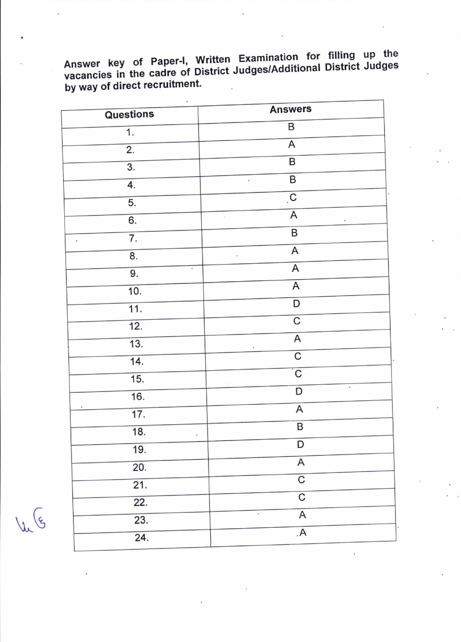Answer key of Paper-I, Written Examination for filling up the vacancies in the cadre of District Judges/Additional District Judges by way of direct recruitment.

| Questions                 | <b>Answers</b>                            |
|---------------------------|-------------------------------------------|
| $\overline{\mathbf{1}}$ . | B                                         |
| $\overline{2}$ .          | A                                         |
| $\overline{3}$ .          | $\overline{\mathsf{B}}$                   |
| 4.                        | $\overline{B}$                            |
| $\overline{5}$ .          | $\overline{c}$                            |
| 6.                        | $\mathsf A$                               |
|                           | $\sf B$                                   |
| 7.<br>$\rlap{-}$          | $\mathsf A$                               |
| 8.<br>$\blacksquare$      | $\overline{A}$                            |
| 9.                        | $\overline{\mathsf{A}}$                   |
| 10.                       | D                                         |
| $\overline{11}$ .         | $\overline{\mathsf{C}}$                   |
| $\overline{12}$ .         |                                           |
| 13.                       | A                                         |
| $\overline{14}$ .         | $\overline{\mathsf{C}}$                   |
| $\overline{15}$ .         | $\overline{\mathsf{C}}$<br>$\blacksquare$ |
| 16.                       | D                                         |
| 17.                       | $\boldsymbol{\mathsf{A}}$                 |
| 18.<br>$\cdot$            | $\, {\sf B}$                              |
| $\overline{19}$ .         | D                                         |
| 20.                       | $\boldsymbol{\mathsf{A}}$                 |
| $\overline{21}$ .         | $\overline{\mathsf{C}}$                   |
| $\overline{22}$ .         | $\overline{\mathsf{C}}$                   |
| $\overline{23}$ .         | $\overline{\mathsf{A}}$<br>$\bullet$      |
| $\overline{24}$ .         | $\overline{A}$                            |
|                           |                                           |

 $\sqrt{\mu}$  (5)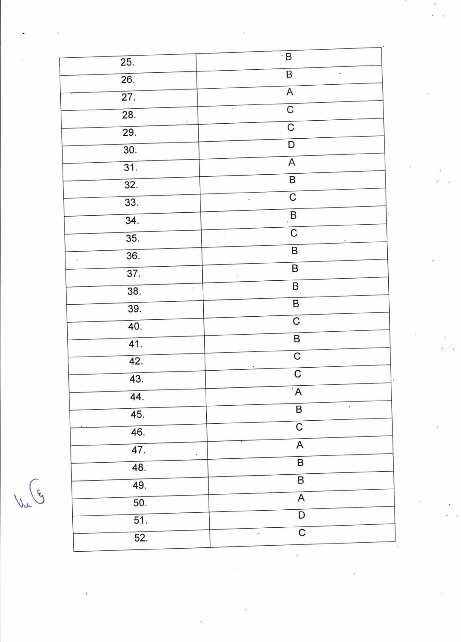| 25.                             | $\cdot$ B                                  |
|---------------------------------|--------------------------------------------|
| $\overline{26}$ .               | $\overline{\mathsf{B}}$<br>$\cdot$         |
| $\overline{27}$ .               | $\overline{A}$                             |
| $\overline{28}$ .               | $\overline{C}$                             |
| $^\star$<br>29.                 | $\overline{\mathsf{C}}$                    |
| 30.                             | $\overline{D}$                             |
| 31.                             | $\overline{A}$                             |
| 32.                             | $\overline{\mathsf{B}}$                    |
| 33.                             | $\overline{C}$<br>$\ddot{\phantom{0}}$     |
| 34.                             | B                                          |
| 35.                             | $\overline{C}$<br>$\alpha$                 |
| 36.                             | $\overline{\mathsf{B}}$                    |
| $\epsilon$<br>$\overline{37}$ . | $\overline{B}$                             |
| 38.<br>k,                       | $\overline{\phantom{a}}$<br>$\overline{B}$ |
| 39.                             | $\overline{B}$                             |
| 40.                             | $\overline{\mathsf{C}}$                    |
| $\overline{41}$ .               | $\overline{B}$                             |
| 42.                             | $\overline{\mathsf{C}}$                    |
| 43.                             | $\overline{\mathsf{C}}$                    |
|                                 | $\overline{A}$                             |
| 44.                             | $\blacksquare$<br>$\sf B$                  |
| 45.                             | $\overline{C}$                             |
| 46.                             | $\sf A$                                    |
| 47.<br>۰                        | $\overline{\mathsf{B}}$                    |
| 48.                             | $\overline{\mathsf{B}}$                    |
| 49.                             | $\overline{\mathsf{A}}$                    |
| 50.                             | D                                          |
| $\overline{51}$ .               | $\overline{\mathsf{C}}$<br>۰               |
| 52.                             |                                            |

 $\sqrt{\sqrt{g}}$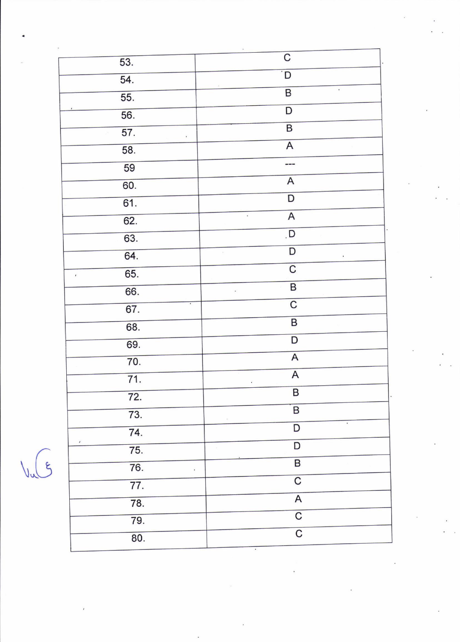| 53.                          | C                                            |
|------------------------------|----------------------------------------------|
| 54.                          | D                                            |
| 55.                          | $\bullet$<br>$\overline{\mathsf{B}}$         |
| 56.                          | D                                            |
|                              | $\overline{\mathsf{B}}$                      |
| $\overline{57}$ .<br>$\cdot$ | $\overline{A}$                               |
| 58.                          | ---                                          |
| 59                           |                                              |
| 60.                          | $\overline{\mathsf{A}}$                      |
| 61.                          | $\overline{D}$                               |
| 62.                          | $\overline{A}$<br>$\omega_{\rm c}$           |
| 63.                          | $\overline{D}$                               |
| 64.                          | $\mathsf D$<br>$\tilde{\epsilon}$<br>$\cdot$ |
| 65.<br>$\pmb{\cdot}$         | $\overline{C}$                               |
| 66.                          | $\overline{\mathsf{B}}$<br>$\cdot$           |
| 67.                          | $\overline{C}$                               |
| 68.                          | $\overline{B}$                               |
| 69.                          | $\overline{D}$                               |
| 70.                          | A                                            |
| $\overline{71}$ .            | $\overline{A}$                               |
|                              | $\bullet$<br>$\overline{B}$                  |
| 72.                          | B                                            |
| 73.                          | ٠<br>D                                       |
| 74.<br>$\prime$              | D                                            |
| 75.                          |                                              |
| 76.<br>$\cdot$               | $\overline{B}$                               |
| $\overline{77}$ .            | $\overline{\mathsf{C}}$                      |
| 78.                          | $\overline{A}$                               |
| 79.                          | $\overline{C}$                               |
| 80.                          | $\overline{\mathrm{C}}$                      |
|                              |                                              |

 $\sqrt{\sqrt{5}}$